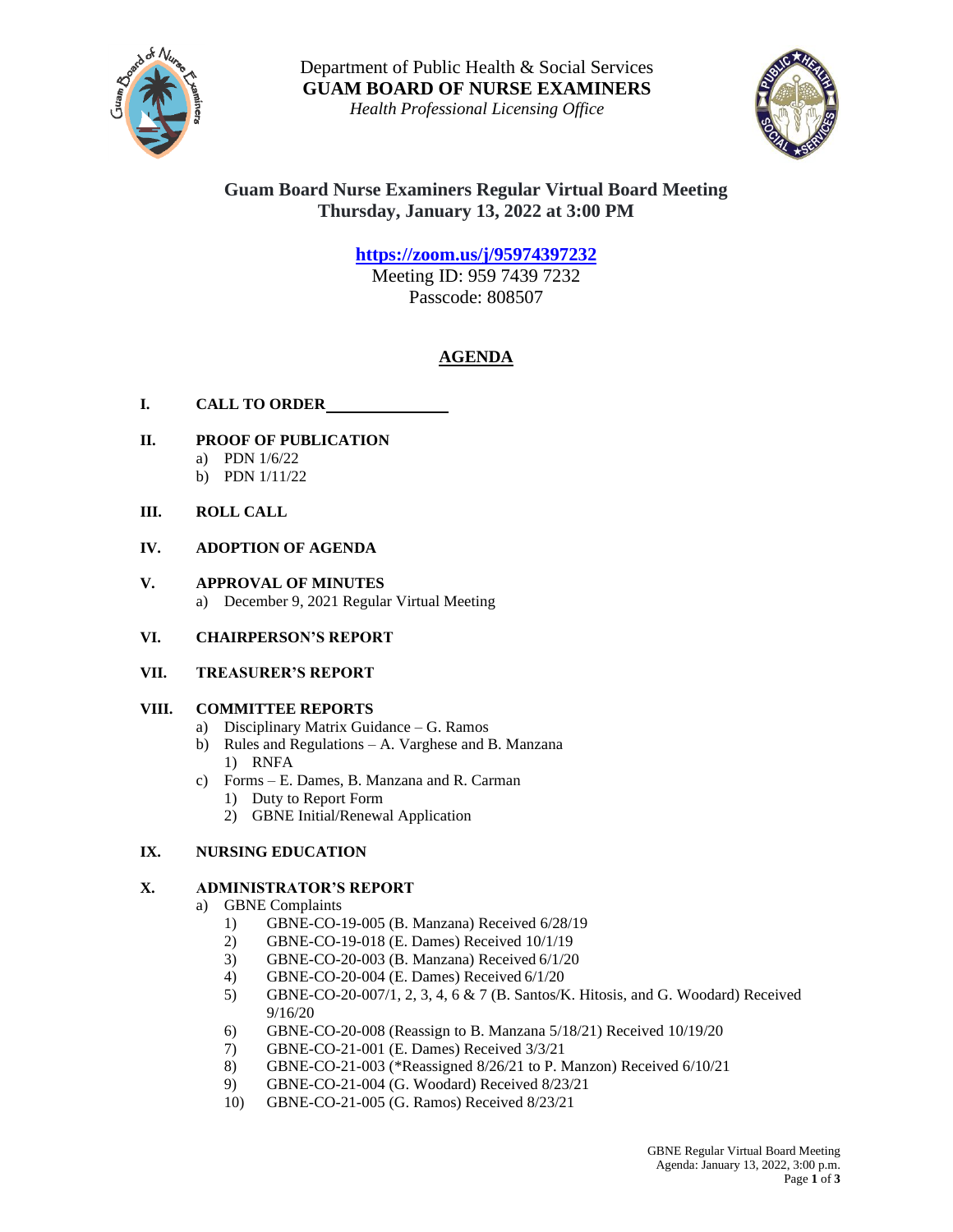

Department of Public Health & Social Services **GUAM BOARD OF NURSE EXAMINERS**

*Health Professional Licensing Office*



# **Guam Board Nurse Examiners Regular Virtual Board Meeting Thursday, January 13, 2022 at 3:00 PM**

**<https://zoom.us/j/95974397232>**

Meeting ID: 959 7439 7232 Passcode: 808507

# **AGENDA**

- **I. CALL TO ORDER**
- **II. PROOF OF PUBLICATION** a) PDN 1/6/22
	- b) PDN 1/11/22
- **III. ROLL CALL**

## **IV. ADOPTION OF AGENDA**

- **V. APPROVAL OF MINUTES** a) December 9, 2021 Regular Virtual Meeting
- **VI. CHAIRPERSON'S REPORT**
- **VII. TREASURER'S REPORT**

## **VIII. COMMITTEE REPORTS**

- a) Disciplinary Matrix Guidance G. Ramos
- b) Rules and Regulations A. Varghese and B. Manzana 1) RNFA
- c) Forms E. Dames, B. Manzana and R. Carman
	- 1) Duty to Report Form
	- 2) GBNE Initial/Renewal Application

## **IX. NURSING EDUCATION**

## **X. ADMINISTRATOR'S REPORT**

- a) GBNE Complaints
	- 1) GBNE-CO-19-005 (B. Manzana) Received 6/28/19
	- 2) GBNE-CO-19-018 (E. Dames) Received 10/1/19
	- 3) GBNE-CO-20-003 (B. Manzana) Received 6/1/20
	- 4) GBNE-CO-20-004 (E. Dames) Received 6/1/20
	- 5) GBNE-CO-20-007/1, 2, 3, 4, 6 & 7 (B. Santos/K. Hitosis, and G. Woodard) Received 9/16/20
	- 6) GBNE-CO-20-008 (Reassign to B. Manzana 5/18/21) Received 10/19/20
	- 7) GBNE-CO-21-001 (E. Dames) Received 3/3/21
	- 8) GBNE-CO-21-003 (\*Reassigned 8/26/21 to P. Manzon) Received 6/10/21
	- 9) GBNE-CO-21-004 (G. Woodard) Received 8/23/21
	- 10) GBNE-CO-21-005 (G. Ramos) Received 8/23/21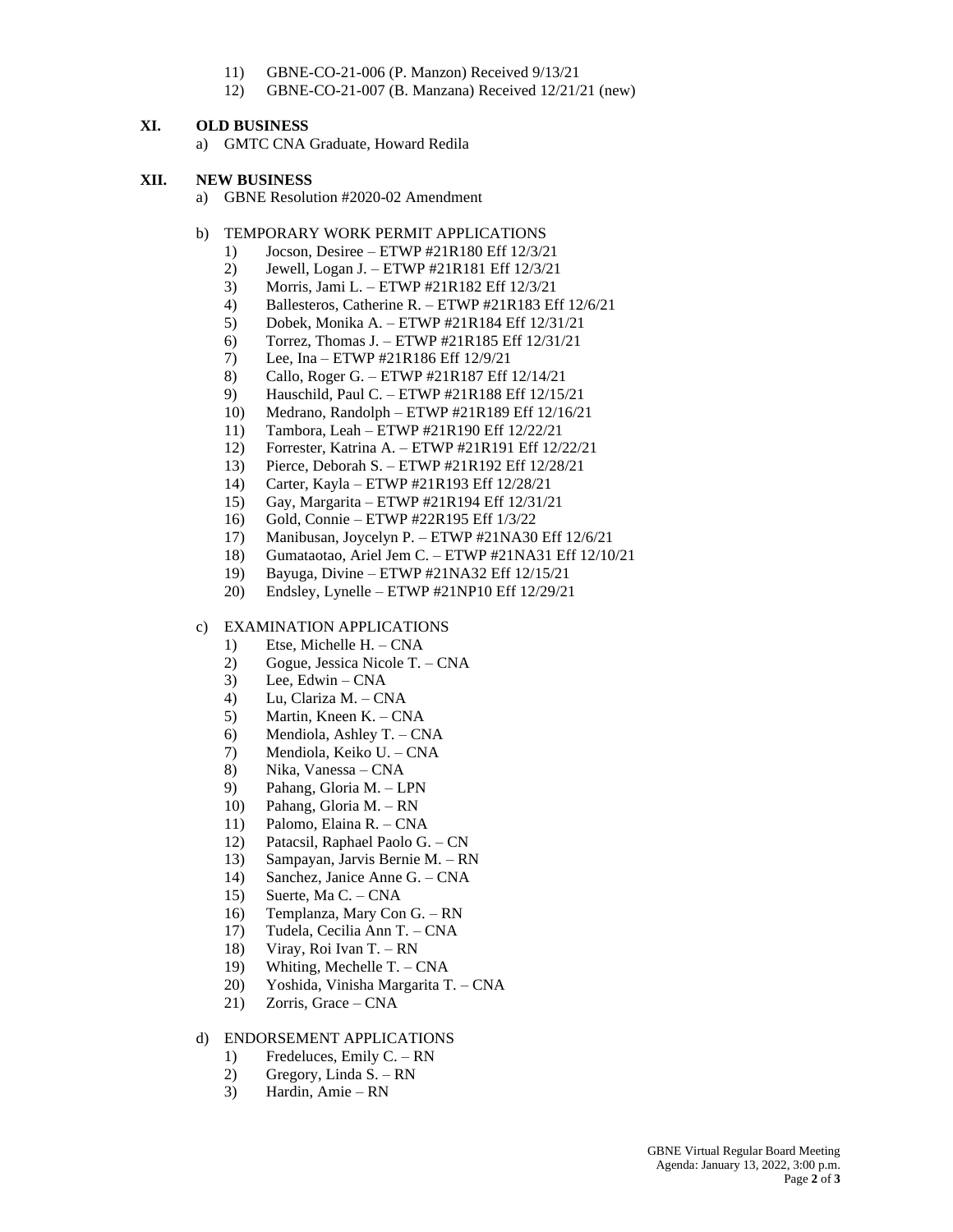- 11) GBNE-CO-21-006 (P. Manzon) Received 9/13/21
- 12) GBNE-CO-21-007 (B. Manzana) Received 12/21/21 (new)

#### **XI. OLD BUSINESS**

a) GMTC CNA Graduate, Howard Redila

#### **XII. NEW BUSINESS**

- a) GBNE Resolution #2020-02 Amendment
- b) TEMPORARY WORK PERMIT APPLICATIONS
	- 1) Jocson, Desiree ETWP #21R180 Eff 12/3/21
	- 2) Jewell, Logan J. ETWP #21R181 Eff 12/3/21
	- 3) Morris, Jami L. ETWP #21R182 Eff 12/3/21
	- 4) Ballesteros, Catherine R. ETWP #21R183 Eff 12/6/21
	- 5) Dobek, Monika A. ETWP #21R184 Eff 12/31/21
	- 6) Torrez, Thomas J. ETWP #21R185 Eff 12/31/21
	- 7) Lee, Ina ETWP #21R186 Eff 12/9/21
	- 8) Callo, Roger G. ETWP #21R187 Eff 12/14/21
	- 9) Hauschild, Paul C. ETWP #21R188 Eff 12/15/21
	- 10) Medrano, Randolph ETWP #21R189 Eff 12/16/21
	- 11) Tambora, Leah ETWP #21R190 Eff 12/22/21
	- 12) Forrester, Katrina A. ETWP #21R191 Eff 12/22/21
	- 13) Pierce, Deborah S. ETWP #21R192 Eff 12/28/21
	- 14) Carter, Kayla ETWP #21R193 Eff 12/28/21
	- 15) Gay, Margarita ETWP #21R194 Eff 12/31/21
	- 16) Gold, Connie ETWP #22R195 Eff 1/3/22
	- 17) Manibusan, Joycelyn P. ETWP #21NA30 Eff 12/6/21
	- 18) Gumataotao, Ariel Jem C. ETWP #21NA31 Eff 12/10/21
	- 19) Bayuga, Divine ETWP #21NA32 Eff 12/15/21
	- 20) Endsley, Lynelle ETWP #21NP10 Eff 12/29/21

#### c) EXAMINATION APPLICATIONS

- 1) Etse, Michelle H. CNA
- 2) Gogue, Jessica Nicole T. CNA
- $3)$  Lee, Edwin CNA
- 4) Lu, Clariza M. CNA
- 5) Martin, Kneen K. CNA
- 6) Mendiola, Ashley T. CNA
- 7) Mendiola, Keiko U. CNA
- 8) Nika, Vanessa CNA
- 9) Pahang, Gloria M. LPN
- 10) Pahang, Gloria M. RN
- 11) Palomo, Elaina R. CNA
- 12) Patacsil, Raphael Paolo G. CN
- 13) Sampayan, Jarvis Bernie M. RN
- 14) Sanchez, Janice Anne G. CNA
- 15) Suerte, Ma C. CNA
- 16) Templanza, Mary Con G. RN
- 17) Tudela, Cecilia Ann T. CNA
- 18) Viray, Roi Ivan T. RN
- 19) Whiting, Mechelle T. CNA
- 20) Yoshida, Vinisha Margarita T. CNA
- 21) Zorris, Grace CNA

#### d) ENDORSEMENT APPLICATIONS

- 1) Fredeluces, Emily C. RN
- 2) Gregory, Linda S. RN
- 3) Hardin, Amie RN